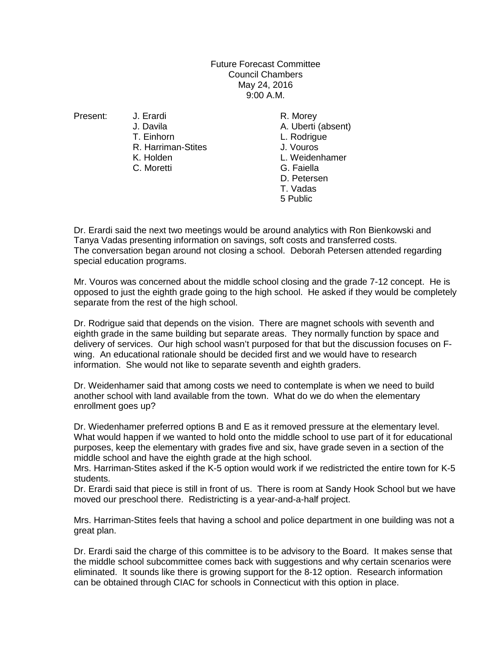## Future Forecast Committee Council Chambers May 24, 2016 9:00 A.M.

- - T. Einhorn L. Rodrigue R. Harriman-Stites **J. Vouros**<br>
	K. Holden **J. Veiden**
	- C. Moretti

Present: J. Erardi R. Morey A. Uberti (absent) L. Weidenhamer<br>G. Faiella D. Petersen T. Vadas 5 Public

Dr. Erardi said the next two meetings would be around analytics with Ron Bienkowski and Tanya Vadas presenting information on savings, soft costs and transferred costs. The conversation began around not closing a school. Deborah Petersen attended regarding special education programs.

Mr. Vouros was concerned about the middle school closing and the grade 7-12 concept. He is opposed to just the eighth grade going to the high school. He asked if they would be completely separate from the rest of the high school.

Dr. Rodrigue said that depends on the vision. There are magnet schools with seventh and eighth grade in the same building but separate areas. They normally function by space and delivery of services. Our high school wasn't purposed for that but the discussion focuses on Fwing. An educational rationale should be decided first and we would have to research information. She would not like to separate seventh and eighth graders.

Dr. Weidenhamer said that among costs we need to contemplate is when we need to build another school with land available from the town. What do we do when the elementary enrollment goes up?

Dr. Wiedenhamer preferred options B and E as it removed pressure at the elementary level. What would happen if we wanted to hold onto the middle school to use part of it for educational purposes, keep the elementary with grades five and six, have grade seven in a section of the middle school and have the eighth grade at the high school.

Mrs. Harriman-Stites asked if the K-5 option would work if we redistricted the entire town for K-5 students.

Dr. Erardi said that piece is still in front of us. There is room at Sandy Hook School but we have moved our preschool there. Redistricting is a year-and-a-half project.

Mrs. Harriman-Stites feels that having a school and police department in one building was not a great plan.

Dr. Erardi said the charge of this committee is to be advisory to the Board. It makes sense that the middle school subcommittee comes back with suggestions and why certain scenarios were eliminated. It sounds like there is growing support for the 8-12 option. Research information can be obtained through CIAC for schools in Connecticut with this option in place.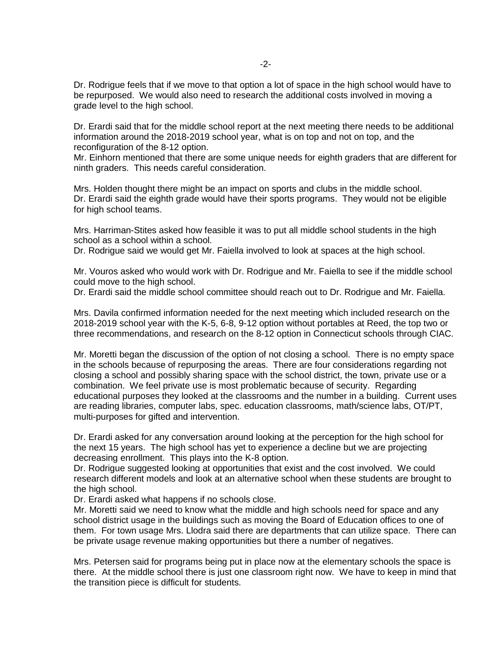Dr. Rodrigue feels that if we move to that option a lot of space in the high school would have to be repurposed. We would also need to research the additional costs involved in moving a grade level to the high school.

Dr. Erardi said that for the middle school report at the next meeting there needs to be additional information around the 2018-2019 school year, what is on top and not on top, and the reconfiguration of the 8-12 option.

Mr. Einhorn mentioned that there are some unique needs for eighth graders that are different for ninth graders. This needs careful consideration.

Mrs. Holden thought there might be an impact on sports and clubs in the middle school. Dr. Erardi said the eighth grade would have their sports programs. They would not be eligible for high school teams.

Mrs. Harriman-Stites asked how feasible it was to put all middle school students in the high school as a school within a school.

Dr. Rodrigue said we would get Mr. Faiella involved to look at spaces at the high school.

Mr. Vouros asked who would work with Dr. Rodrigue and Mr. Faiella to see if the middle school could move to the high school.

Dr. Erardi said the middle school committee should reach out to Dr. Rodrigue and Mr. Faiella.

Mrs. Davila confirmed information needed for the next meeting which included research on the 2018-2019 school year with the K-5, 6-8, 9-12 option without portables at Reed, the top two or three recommendations, and research on the 8-12 option in Connecticut schools through CIAC.

Mr. Moretti began the discussion of the option of not closing a school. There is no empty space in the schools because of repurposing the areas. There are four considerations regarding not closing a school and possibly sharing space with the school district, the town, private use or a combination. We feel private use is most problematic because of security. Regarding educational purposes they looked at the classrooms and the number in a building. Current uses are reading libraries, computer labs, spec. education classrooms, math/science labs, OT/PT, multi-purposes for gifted and intervention.

Dr. Erardi asked for any conversation around looking at the perception for the high school for the next 15 years. The high school has yet to experience a decline but we are projecting decreasing enrollment. This plays into the K-8 option.

Dr. Rodrigue suggested looking at opportunities that exist and the cost involved. We could research different models and look at an alternative school when these students are brought to the high school.

Dr. Erardi asked what happens if no schools close.

Mr. Moretti said we need to know what the middle and high schools need for space and any school district usage in the buildings such as moving the Board of Education offices to one of them. For town usage Mrs. Llodra said there are departments that can utilize space. There can be private usage revenue making opportunities but there a number of negatives.

Mrs. Petersen said for programs being put in place now at the elementary schools the space is there. At the middle school there is just one classroom right now. We have to keep in mind that the transition piece is difficult for students.